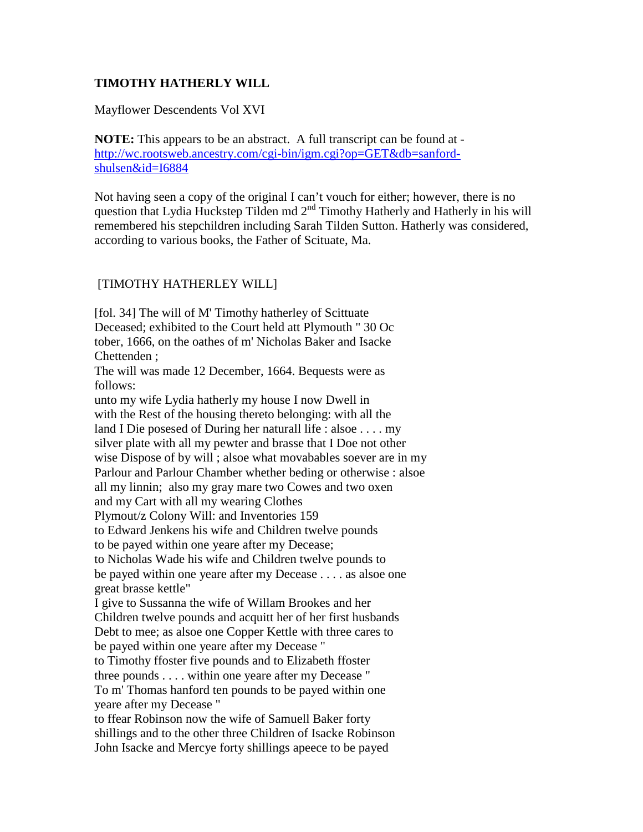## **TIMOTHY HATHERLY WILL**

## Mayflower Descendents Vol XVI

**NOTE:** This appears to be an abstract. A full transcript can be found at [http://wc.rootsweb.ancestry.com/cgi-bin/igm.cgi?op=GET&db=sanford](http://wc.rootsweb.ancestry.com/cgi-bin/igm.cgi?op=GET&db=sanford-shulsen&id=I6884)[shulsen&id=I6884](http://wc.rootsweb.ancestry.com/cgi-bin/igm.cgi?op=GET&db=sanford-shulsen&id=I6884)

Not having seen a copy of the original I can't vouch for either; however, there is no question that Lydia Huckstep Tilden md 2<sup>nd</sup> Timothy Hatherly and Hatherly in his will remembered his stepchildren including Sarah Tilden Sutton. Hatherly was considered, according to various books, the Father of Scituate, Ma.

## [TIMOTHY HATHERLEY WILL]

[fol. 34] The will of M' Timothy hatherley of Scittuate Deceased; exhibited to the Court held att Plymouth " 30 Oc tober, 1666, on the oathes of m' Nicholas Baker and Isacke Chettenden ; The will was made 12 December, 1664. Bequests were as follows: unto my wife Lydia hatherly my house I now Dwell in with the Rest of the housing thereto belonging: with all the land I Die posesed of During her naturall life : alsoe . . . . my silver plate with all my pewter and brasse that I Doe not other wise Dispose of by will ; alsoe what movabables soever are in my Parlour and Parlour Chamber whether beding or otherwise : alsoe all my linnin; also my gray mare two Cowes and two oxen and my Cart with all my wearing Clothes Plymout/z Colony Will: and Inventories 159 to Edward Jenkens his wife and Children twelve pounds to be payed within one yeare after my Decease; to Nicholas Wade his wife and Children twelve pounds to be payed within one yeare after my Decease . . . . as alsoe one great brasse kettle" I give to Sussanna the wife of Willam Brookes and her Children twelve pounds and acquitt her of her first husbands Debt to mee; as alsoe one Copper Kettle with three cares to be payed within one yeare after my Decease " to Timothy ffoster five pounds and to Elizabeth ffoster three pounds . . . . within one yeare after my Decease " To m' Thomas hanford ten pounds to be payed within one yeare after my Decease " to ffear Robinson now the wife of Samuell Baker forty shillings and to the other three Children of Isacke Robinson John Isacke and Mercye forty shillings apeece to be payed